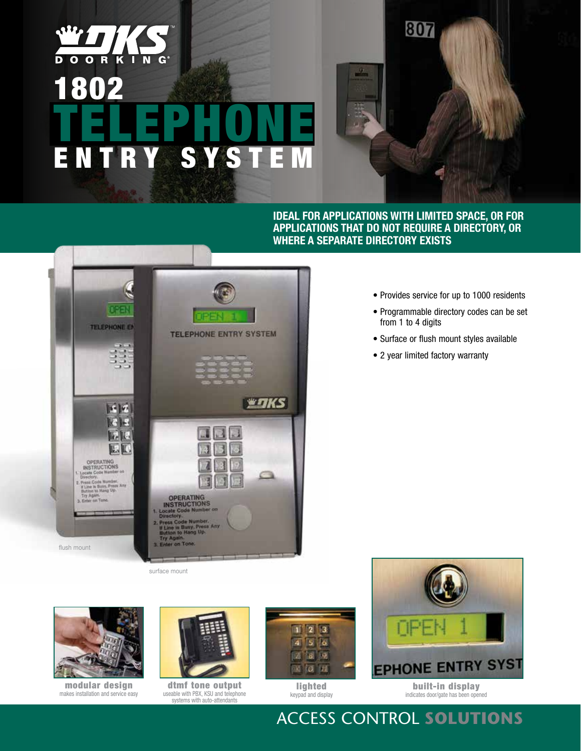# $\overline{\mathbf{o}}$   $\overline{\mathbf{o}}$  $\overline{\mathbf{D}}$  $\overline{R}$   $\overline{K}$  $\overline{\mathbf{1}}$ 1802 TELEPHONE E nt ry Sy ste m

**Ideal for applications with limited space, or for applications that do not require a directory, or where a separate directory exists**

807

DEEN **TELEPHONE EN TELEPHONE ENTRY SYSTEM WITKS** 同位  $61$ k. 區區 OPERATING<br>INSTRUCTIONS t Busy, Press<br>to Mang Up. OPERATING<br>INSTRUCTIONS<br>Scate Code Number on Ton flush mount

surface mount



modular design makes installation and service easy



dtmf tone output useable with PBX, KSU and telephone systems with auto-attendants



lighted keypad and display



# Access Control **Solutions**

- Provides service for up to 1000 residents
- Programmable directory codes can be set from 1 to 4 digits
- Surface or flush mount styles available
- 2 year limited factory warranty